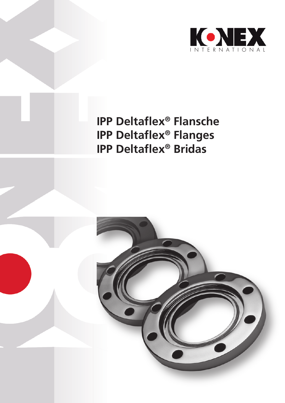

# **IPP Deltaflex® Flansche IPP Deltaflex® Flanges IPP Deltaflex® Bridas**

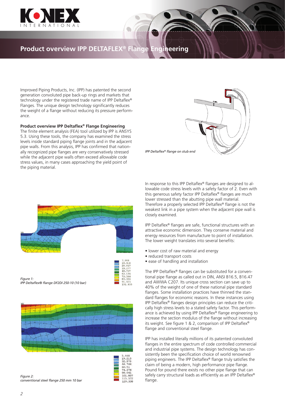

#### **Product overview IPP DELTAFLEX® Flange Engineering**

Improved Piping Products, Inc. (IPP) has patented the second generation convoluted pipe back-up rings and markets that technology under the registered trade name of IPP Deltaflex® Flanges. The unique design technology significantly reduces the weight of a flange without reducing its pressure performance.

#### **Product overview IPP Deltaflex® Flange Engineering**

The finite element analysis (FEA) tool utilized by IPP is ANSYS 5.3. Using these tools, the company has examined the stress levels inside standard piping flange joints and in the adjacent pipe walls. From this analysis, IPP has confirmed that nationally recognized pipe flanges are very conservatively stressed while the adjacent pipe walls often exceed allowable code stress values, in many cases approaching the yield point of the piping material.



*IPP Deltaflex® flange on stub end*



| Figure 1:                                   |  |
|---------------------------------------------|--|
| IPP Deltaflex® flange DF2DI 250-10 (10 bar) |  |





18.418<br>28.847<br>39.277<br>49.707<br>60.136<br>70.566 80.995 101.85

*Figure 2: conventional steel flange 250 mm 10 bar*

In response to this IPP Deltaflex® flanges are designed to allowable code stress levels with a safety factor of 2. Even with this generous safety factor IPP Deltaflex® flanges are much lower stressed than the abutting pipe wall material. Therefore a properly selected IPP Deltaflex® flange is not the weakest link in a pipe system when the adjacent pipe wall is closely examined.

IPP Deltaflex® flanges are safe, functional structures with an attractive economic dimension. They conserve material and energy resources from manufacture to point of installation. The lower weight translates into several benefits:

- lower cost of raw material and energy
- reduced transport costs
- ease of handling and installation

The IPP Deltaflex® flanges can be substituted for a conventional pipe flange as called out in DIN, ANSI B16.5, B16.47 and AWWA C207. Its unique cross section can save up to 40% of the weight of one of these national pipe standard flanges. Some installation practices have thinned the standard flanges for economic reasons. In these instances using IPP Deltaflex® flanges design principles can reduce the critically high stress levels to a stated safety factor. This performance is achieved by using IPP Deltaflex® flange engineering to increase the section modulus of the flange without increasing its weight. See figure 1 & 2, comparison of IPP Deltaflex® flange and conventional steel flange.

IPP has installed literally millions of its patented convoluted flanges in the entire spectrum of code controlled commercial and industrial pipe systems. The design technology has consistently been the specification choice of world renowned piping engineers. The IPP Deltaflex® flange truly satisfies the claim of being a modern, high performance pipe flange. Pound for pound there exists no other pipe flange that can safely carry structural loads as efficiently as an IPP Deltaflex® flange.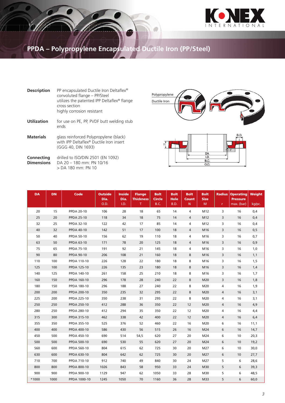

## **PPDA – Polypropylene Encapsulated Ductile Iron (PP/Steel)**

| <b>Description</b>              | PP encapsulated Ductile Iron Deltaflex <sup>®</sup><br>convoluted flange - PP/Steel<br>utilizes the patented IPP Deltaflex® flange<br>cross section<br>highly corrosion resistant |
|---------------------------------|-----------------------------------------------------------------------------------------------------------------------------------------------------------------------------------|
| <b>Utilization</b>              | for use on PE, PP, PVDF butt welding stub<br>ends                                                                                                                                 |
| <b>Materials</b>                | glass reinforced Polypropylene (black)<br>with IPP Deltaflex <sup>®</sup> Ductile Iron insert<br>(GGG 40, DIN 1693)                                                               |
| Connecting<br><b>Dimensions</b> | drilled to ISO/DIN 2501 (EN 1092)<br>DA 20 – 180 mm <sup>.</sup> PN 10/16<br>> DA 180 mm: PN 10                                                                                   |





| <b>DA</b> | <b>DN</b> | Code               | <b>Outside</b><br>Dia.<br>O.D. | <b>Inside</b><br>Dia. | <b>Flange</b><br><b>Thickness</b> | <b>Bolt</b><br><b>Circle</b> | <b>Bolt</b><br>Hole | <b>Bolt</b><br><b>Count</b> | <b>Bolt</b><br><b>Size</b> | <b>Radius</b>  | <b>Operating</b><br><b>Pressure</b> | Weight |
|-----------|-----------|--------------------|--------------------------------|-----------------------|-----------------------------------|------------------------------|---------------------|-----------------------------|----------------------------|----------------|-------------------------------------|--------|
|           |           |                    |                                | I.D.                  | Τ.                                | <b>B.C.</b>                  | B.D.                | N                           | M                          | r.             | max. (bar)                          | kg/pc. |
| 20        | 15        | <b>PPDA 20-10</b>  | 106                            | 28                    | 18                                | 65                           | 14                  | 4                           | M12                        | 3              | 16                                  | 0,4    |
| 25        | 20        | <b>PPDA 25-10</b>  | 118                            | 34                    | 18                                | 75                           | 14                  | $\overline{4}$              | M12                        | 3              | 16                                  | 0,4    |
| 32        | 25        | <b>PPDA 32-10</b>  | 122                            | 42                    | 17                                | 85                           | 14                  | 4                           | M12                        | 3              | 16                                  | 0,4    |
| 40        | 32        | <b>PPDA 40-10</b>  | 142                            | 51                    | 17                                | 100                          | 18                  | $\overline{4}$              | M16                        | 3              | 16                                  | 0, 5   |
| 50        | 40        | <b>PPDA 50-10</b>  | 156                            | 62                    | 19                                | 110                          | 18                  | 4                           | M16                        | 3              | 16                                  | 0,7    |
| 63        | 50        | <b>PPDA 63-10</b>  | 171                            | 78                    | 20                                | 125                          | 18                  | 4                           | M16                        | 3              | 16                                  | 0,9    |
| 75        | 65        | <b>PPDA 75-10</b>  | 191                            | 92                    | 21                                | 145                          | 18                  | 4                           | M16                        | 3              | 16                                  | 1,0    |
| 90        | 80        | <b>PPDA 90-10</b>  | 206                            | 108                   | 21                                | 160                          | 18                  | 8                           | M16                        | 3              | 16                                  | 1,1    |
| 110       | 100       | <b>PPDA 110-10</b> | 226                            | 128                   | 22                                | 180                          | 18                  | 8                           | M16                        | 3              | 16                                  | 1,5    |
| 125       | 100       | <b>PPDA 125-10</b> | 226                            | 135                   | 23                                | 180                          | 18                  | 8                           | M16                        | 3              | 16                                  | 1,4    |
| 140       | 125       | PPDA 140-10        | 261                            | 158                   | 25                                | 210                          | 18                  | 8                           | M16                        | 3              | 16                                  | 1,7    |
| 160       | 150       | <b>PPDA 160-10</b> | 296                            | 178                   | 28                                | 240                          | 22                  | 8                           | M20                        | 3              | 16                                  | 1,8    |
| 180       | 150       | <b>PPDA 180-10</b> | 296                            | 188                   | 27                                | 240                          | 22                  | 8                           | M20                        | 4              | 16                                  | 1,9    |
| 200       | 200       | <b>PPDA 200-10</b> | 350                            | 235                   | 32                                | 295                          | 22                  | 8                           | M20                        | $\overline{4}$ | 16                                  | 3,1    |
| 225       | 200       | <b>PPDA 225-10</b> | 350                            | 238                   | 31                                | 295                          | 22                  | 8                           | M20                        | 4              | 16                                  | 3,1    |
| 250       | 250       | PPDA 250-10        | 412                            | 288                   | 36                                | 350                          | 22                  | 12                          | M20                        | 4              | 16                                  | 4,9    |
| 280       | 250       | <b>PPDA 280-10</b> | 412                            | 294                   | 35                                | 350                          | 22                  | 12                          | M20                        | 4              | 16                                  | 4,4    |
| 315       | 300       | PPDA 315-10        | 462                            | 338                   | 42                                | 400                          | 22                  | 12                          | M20                        | 4              | 16                                  | 6,4    |
| 355       | 350       | PPDA 355-10        | 525                            | 376                   | 52                                | 460                          | 22                  | 16                          | M20                        | 6              | 16                                  | 11,1   |
| 400       | 400       | <b>PPDA 400-10</b> | 586                            | 430                   | 56                                | 515                          | 26                  | 16                          | M24                        | 6              | 16                                  | 14,7   |
| 450       | 500       | <b>PPDA 450-10</b> | 690                            | 514                   | 54,5                              | 620                          | 27                  | 20                          | M24                        | 6              | 10                                  | 20,3   |
| 500       | 500       | <b>PPDA 500-10</b> | 690                            | 530                   | 55                                | 620                          | 27                  | 20                          | M24                        | 6              | 10                                  | 19,2   |
| 560       | 600       | <b>PPDA 560-10</b> | 804                            | 615                   | 62                                | 725                          | 30                  | 20                          | M27                        | 6              | 10                                  | 30,0   |
| 630       | 600       | PPDA 630-10        | 804                            | 642                   | 62                                | 725                          | 30                  | 20                          | M27                        | 6              | 10                                  | 27,7   |
| 710       | 700       | PPDA 710-10        | 912                            | 740                   | 49                                | 840                          | 30                  | 24                          | M27                        | 5              | 6                                   | 28,6   |
| 800       | 800       | <b>PPDA 800-10</b> | 1026                           | 843                   | 58                                | 950                          | 33                  | 24                          | M30                        | 5              | 6                                   | 39,3   |
| 900       | 900       | PPDA 900-10        | 1129                           | 947                   | 62                                | 1050                         | 33                  | 28                          | M30                        | 5              | 6                                   | 48,5   |
| *1000     | 1000      | PPDA 1000-10       | 1245                           | 1050                  | 70                                | 1160                         | 36                  | 28                          | M33                        | 5              | 6                                   | 60,0   |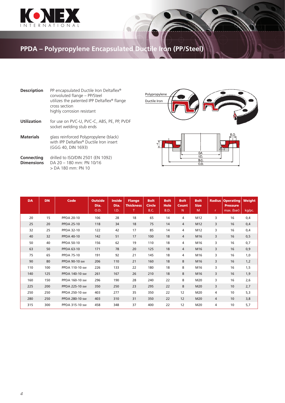

## **PPDA – Polypropylene Encapsulated Ductile Iron (PP/Steel)**

| <b>Description</b>              | PP encapsulated Ductile Iron Deltaflex <sup>®</sup><br>convoluted flange - PP/Steel<br>utilizes the patented IPP Deltaflex® flange<br>cross section<br>highly corrosion resistant |
|---------------------------------|-----------------------------------------------------------------------------------------------------------------------------------------------------------------------------------|
| Utilization                     | for use on PVC-U, PVC-C, ABS, PE, PP, PVDF<br>socket welding stub ends                                                                                                            |
| <b>Materials</b>                | glass reinforced Polypropylene (black)<br>with IPP Deltaflex® Ductile Iron insert<br>(GGG 40, DIN 1693)                                                                           |
| Connecting<br><b>Dimensions</b> | drilled to ISO/DIN 2501 (EN 1092)<br>DA 20 - 180 mm: PN 10/16<br>$>$ DA 180 mm; PN 10                                                                                             |





| <b>DA</b> | <b>DN</b> | <b>Code</b>       | <b>Outside</b><br>Dia.<br>O.D. | <b>Inside</b><br>Dia.<br>I.D. | <b>Flange</b><br><b>Thickness</b><br>т | <b>Bolt</b><br><b>Circle</b><br><b>B.C.</b> | <b>Bolt</b><br><b>Hole</b><br>B.D. | <b>Bolt</b><br>Count<br>N | <b>Bolt</b><br><b>Size</b><br>M | <b>Radius</b><br>r | <b>Operating</b><br><b>Pressure</b><br>max. (bar) | Weight<br>kg/pc. |
|-----------|-----------|-------------------|--------------------------------|-------------------------------|----------------------------------------|---------------------------------------------|------------------------------------|---------------------------|---------------------------------|--------------------|---------------------------------------------------|------------------|
| 20        | 15        | <b>PPDA 20-10</b> | 106                            | 28                            | 18                                     | 65                                          | 14                                 | 4                         | M12                             | 3                  | 16                                                | 0,4              |
| 25        | 20        | <b>PPDA 25-10</b> | 118                            | 34                            | 18                                     | 75                                          | 14                                 | 4                         | M12                             | 3                  | 16                                                | 0,4              |
| 32        | 25        | <b>PPDA 32-10</b> | 122                            | 42                            | 17                                     | 85                                          | 14                                 | 4                         | M12                             | 3                  | 16                                                | 0,4              |
| 40        | 32        | <b>PPDA 40-10</b> | 142                            | 51                            | 17                                     | 100                                         | 18                                 | 4                         | M16                             | 3                  | 16                                                | 0, 5             |
| 50        | 40        | <b>PPDA 50-10</b> | 156                            | 62                            | 19                                     | 110                                         | 18                                 | 4                         | M16                             | 3                  | 16                                                | 0,7              |
| 63        | 50        | <b>PPDA 63-10</b> | 171                            | 78                            | 20                                     | 125                                         | 18                                 | 4                         | M16                             | 3                  | 16                                                | 0,9              |
| 75        | 65        | <b>PPDA 75-10</b> | 191                            | 92                            | 21                                     | 145                                         | 18                                 | 4                         | M16                             | 3                  | 16                                                | 1,0              |
| 90        | 80        | PPDA 90-10 sw     | 206                            | 110                           | 21                                     | 160                                         | 18                                 | 8                         | M16                             | 3                  | 16                                                | 1,2              |
| 110       | 100       | PPDA 110-10 sw    | 226                            | 133                           | 22                                     | 180                                         | 18                                 | 8                         | M16                             | 3                  | 16                                                | 1,5              |
| 140       | 125       | PPDA 140-10 sw    | 261                            | 167                           | 26                                     | 210                                         | 18                                 | 8                         | M16                             | 3                  | 16                                                | 1,9              |
| 160       | 150       | PPDA 160-10 sw    | 296                            | 190                           | 28                                     | 240                                         | 22                                 | 8                         | M20                             | 3                  | 16                                                | 2,6              |
| 225       | 200       | PPDA 225-10 sw    | 350                            | 250                           | 23                                     | 295                                         | 22                                 | 8                         | M20                             | 3                  | 10                                                | 2,7              |
| 250       | 250       | PPDA 250-10 sw    | 403                            | 277                           | 35                                     | 350                                         | 22                                 | 12                        | M20                             | 4                  | 10                                                | 5,3              |
| 280       | 250       | PPDA 280-10 sw    | 403                            | 310                           | 31                                     | 350                                         | 22                                 | 12                        | M20                             | $\overline{4}$     | 10                                                | 3,8              |
| 315       | 300       | PPDA 315-10 sw    | 458                            | 348                           | 37                                     | 400                                         | 22                                 | 12                        | M20                             | 4                  | 10                                                | 5,7              |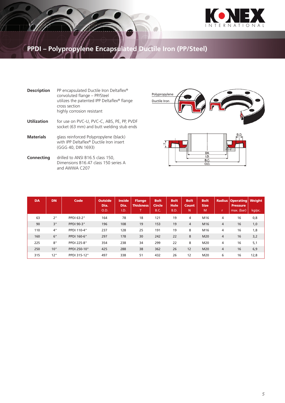

#### **PPDI – Polypropylene Encapsulated Ductile Iron (PP/Steel)**

| <b>Description</b> | PP encapsulated Ductile Iron Deltaflex <sup>®</sup><br>convoluted flange - PP/Steel                     |
|--------------------|---------------------------------------------------------------------------------------------------------|
|                    | utilizes the patented IPP Deltaflex® flange<br>cross section<br>highly corrosion resistant              |
| <b>Utilization</b> | for use on PVC-U, PVC-C, ABS, PE, PP, PVDF<br>socket (63 mm) and butt welding stub ends                 |
| <b>Materials</b>   | glass reinforced Polypropylene (black)<br>with IPP Deltaflex® Ductile Iron insert<br>(GGG 40, DIN 1693) |
| Connecting         | drilled to ANSI B16.5 class 150,<br>Dimensions B16.47 class 150 series A<br>and AWWA C207               |





| <b>DA</b> | <b>DN</b> | Code         | <b>Outside</b><br>Dia.<br>O.D. | <b>Inside</b><br>Dia.<br>I.D. | <b>Flange</b><br><b>Thickness</b><br>Ŧ | <b>Bolt</b><br><b>Circle</b><br><b>B.C.</b> | <b>Bolt</b><br><b>Hole</b><br>B.D. | <b>Bolt</b><br><b>Count</b><br>N | <b>Bolt</b><br><b>Size</b><br>M | ٠              | <b>Radius Operating Weight</b><br><b>Pressure</b><br>max. (bar) | kg/pc. |
|-----------|-----------|--------------|--------------------------------|-------------------------------|----------------------------------------|---------------------------------------------|------------------------------------|----------------------------------|---------------------------------|----------------|-----------------------------------------------------------------|--------|
| 63        | 2"        | PPDI 63-2"   | 164                            | 78                            | 18                                     | 121                                         | 19                                 | $\overline{4}$                   | M16                             | 4              | 16                                                              | 0,8    |
| 90        | 3"        | PPDI 90-3"   | 196                            | 108                           | 19                                     | 153                                         | 19                                 | $\overline{4}$                   | M16                             | $\overline{4}$ | 16                                                              | 1,0    |
| 110       | 4"        | PPDI 110-4"  | 237                            | 128                           | 25                                     | 191                                         | 19                                 | 8                                | M16                             | 4              | 16                                                              | 1,8    |
| 160       | 6"        | PPDI 160-6"  | 297                            | 178                           | 30                                     | 242                                         | 22                                 | 8                                | M20                             | $\overline{4}$ | 16                                                              | 3,2    |
| 225       | 8"        | PPDI 225-8"  | 354                            | 238                           | 34                                     | 299                                         | 22                                 | 8                                | M20                             | 4              | 16                                                              | 5,1    |
| 250       | 10"       | PPDI 250-10" | 425                            | 288                           | 38                                     | 362                                         | 26                                 | 12                               | M20                             | 4              | 16                                                              | 6,9    |
| 315       | 12"       | PPDI 315-12" | 497                            | 338                           | 51                                     | 432                                         | 26                                 | 12                               | M20                             | 6              | 16                                                              | 12,8   |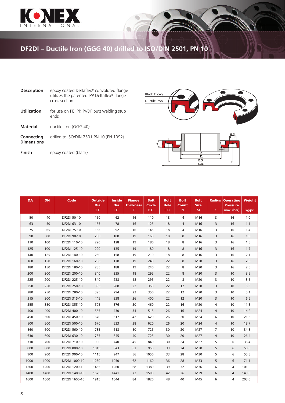

## **DF2DI – Ductile Iron (GGG 40) drilled to ISO/DIN 2501, PN 10**

| <b>Description</b>              | epoxy coated Deltaflex® convoluted flange<br>utilizes the patented IPP Deltaflex <sup>®</sup> flange<br>cross section |
|---------------------------------|-----------------------------------------------------------------------------------------------------------------------|
| <b>Utilization</b>              | for use on PE, PP, PVDF butt welding stub<br>ends                                                                     |
| <b>Material</b>                 | ductile Iron (GGG 40)                                                                                                 |
| Connecting<br><b>Dimensions</b> | drilled to ISO/DIN 2501 PN 10 (EN 1092)                                                                               |
| Finish                          | epoxy coated (black)                                                                                                  |





| <b>DA</b> | <b>DN</b> | <b>Code</b>        | <b>Outside</b><br>Dia.<br>O.D. | <b>Inside</b><br>Dia.<br>I.D. | <b>Flange</b><br><b>Thickness</b><br>Τ | <b>Bolt</b><br><b>Circle</b><br><b>B.C.</b> | <b>Bolt</b><br><b>Hole</b><br>B.D. | <b>Bolt</b><br>Count<br>N | <b>Bolt</b><br><b>Size</b><br>M | <b>Radius</b><br>r. | <b>Operating</b><br><b>Pressure</b><br>max. (bar) | <b>Weight</b><br>kg/pc. |
|-----------|-----------|--------------------|--------------------------------|-------------------------------|----------------------------------------|---------------------------------------------|------------------------------------|---------------------------|---------------------------------|---------------------|---------------------------------------------------|-------------------------|
| 50        | 40        | <b>DF2DI 50-10</b> | 150                            | 62                            | 16                                     | 110                                         | 18                                 | 4                         | M16                             | 3                   | 16                                                | 1,0                     |
| 63        | 50        | DF2DI 63-10        | 165                            | 78                            | 16                                     | 125                                         | 18                                 | 4                         | M16                             | 3                   | 16                                                | 1,1                     |
| 75        | 65        | DF2DI 75-10        | 185                            | 92                            | 16                                     | 145                                         | 18                                 | 4                         | M16                             | 3                   | 16                                                | 1,4                     |
| 90        | 80        | DF2DI 90-10        | 200                            | 108                           | 19                                     | 160                                         | 18                                 | 8                         | M16                             | 3                   | 16                                                | 1,6                     |
| 110       | 100       | DF2DI 110-10       | 220                            | 128                           | 19                                     | 180                                         | 18                                 | 8                         | M16                             | 3                   | 16                                                | 1,8                     |
| 125       | 100       | DF2DI 125-10       | 220                            | 135                           | 19                                     | 180                                         | 18                                 | 8                         | M16                             | 3                   | 16                                                | 1,7                     |
| 140       | 125       | DF2DI 140-10       | 250                            | 158                           | 19                                     | 210                                         | 18                                 | 8                         | M16                             | 3                   | 16                                                | 2,1                     |
| 160       | 150       | DF2DI 160-10       | 285                            | 178                           | 19                                     | 240                                         | 22                                 | 8                         | M20                             | 3                   | 16                                                | 2,6                     |
| 180       | 150       | DF2DI 180-10       | 285                            | 188                           | 19                                     | 240                                         | 22                                 | 8                         | M20                             | 3                   | 16                                                | 2,5                     |
| 200       | 200       | DF2DI 200-10       | 340                            | 235                           | 18                                     | 295                                         | 22                                 | 8                         | M20                             | 3                   | 10                                                | 3,5                     |
| 225       | 200       | DF2DI 225-10       | 340                            | 238                           | 18                                     | 295                                         | 22                                 | 8                         | M20                             | 3                   | 10                                                | 3,5                     |
| 250       | 250       | DF2DI 250-10       | 395                            | 288                           | 22                                     | 350                                         | 22                                 | 12                        | M20                             | 3                   | 10                                                | 5,3                     |
| 280       | 250       | DF2DI 280-10       | 395                            | 294                           | 22                                     | 350                                         | 22                                 | 12                        | M20                             | 3                   | 10                                                | 5,1                     |
| 315       | 300       | DF2DI 315-10       | 445                            | 338                           | 26                                     | 400                                         | 22                                 | 12                        | M20                             | 3                   | 10                                                | 6,6                     |
| 355       | 350       | DF2DI 355-10       | 505                            | 376                           | 30                                     | 460                                         | 22                                 | 16                        | M20                             | $\overline{4}$      | 10                                                | 11,3                    |
| 400       | 400       | DF2DI 400-10       | 565                            | 430                           | 34                                     | 515                                         | 26                                 | 16                        | M24                             | 4                   | 10                                                | 14,2                    |
| 450       | 500       | DF2DI 450-10       | 670                            | 517                           | 42                                     | 620                                         | 26                                 | 20                        | M24                             | 6                   | 10                                                | 21,5                    |
| 500       | 500       | DF2DI 500-10       | 670                            | 533                           | 38                                     | 620                                         | 26                                 | 20                        | M24                             | 4                   | 10                                                | 18,7                    |
| 560       | 600       | DF2DI 560-10       | 785                            | 618                           | 50                                     | 725                                         | 30                                 | 20                        | M27                             | $\overline{7}$      | 10                                                | 34,8                    |
| 630       | 600       | DF2DI 630-10       | 785                            | 645                           | 40                                     | 725                                         | 30                                 | 20                        | M27                             | $\overline{4}$      | 10                                                | 26,4                    |
| 710       | 700       | DF2DI 710-10       | 900                            | 740                           | 45                                     | 840                                         | 30                                 | 24                        | M27                             | 5                   | 6                                                 | 36,4                    |
| 800       | 800       | DF2DI 800-10       | 1015                           | 843                           | 53                                     | 950                                         | 33                                 | 24                        | M30                             | 5                   | 6                                                 | 50,5                    |
| 900       | 900       | DF2DI 900-10       | 1115                           | 947                           | 56                                     | 1050                                        | 33                                 | 28                        | M30                             | 5                   | 6                                                 | 55,8                    |
| 1000      | 1000      | DF2DI 1000-10      | 1230                           | 1050                          | 62                                     | 1160                                        | 36                                 | 28                        | M33                             | 5                   | 6                                                 | 71,1                    |
| 1200      | 1200      | DF2DI 1200-10      | 1455                           | 1260                          | 68                                     | 1380                                        | 39                                 | 32                        | M36                             | 6                   | 4                                                 | 101,0                   |
| 1400      | 1400      | DF2DI 1400-10      | 1675                           | 1441                          | 72                                     | 1590                                        | 42                                 | 36                        | M39                             | 6                   | 4                                                 | 143,0                   |
| 1600      | 1600      | DF2DI 1600-10      | 1915                           | 1644                          | 84                                     | 1820                                        | 48                                 | 40                        | M45                             | 6                   | 4                                                 | 203,0                   |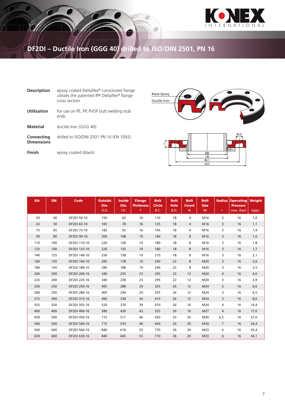

## **DF2DI – Ductile Iron (GGG 40) drilled to ISO/DIN 2501, PN 16**

| <b>Description</b>              | epoxy coated Deltaflex <sup>®</sup> convoluted flange<br>utilizes the patented IPP Deltaflex <sup>®</sup> flange<br>cross section |
|---------------------------------|-----------------------------------------------------------------------------------------------------------------------------------|
| Utilization                     | for use on PE, PP, PVDF butt welding stub<br>ends                                                                                 |
| <b>Material</b>                 | ductile Iron (GGG 40)                                                                                                             |
| Connecting<br><b>Dimensions</b> | drilled to ISO/DIN 2501 PN 16 (EN 1092)                                                                                           |
| Finish                          | epoxy coated (black)                                                                                                              |





| <b>DA</b> | <b>DN</b> | <b>Code</b>  | <b>Outside</b><br>Dia.<br>O.D. | <b>Inside</b><br>Dia.<br>I.D. | <b>Flange</b><br><b>Thickness</b><br>T | <b>Bolt</b><br><b>Circle</b><br><b>B.C.</b> | <b>Bolt</b><br><b>Hole</b><br>B.D. | <b>Bolt</b><br><b>Count</b><br>N | <b>Bolt</b><br><b>Size</b><br>M | <b>Radius</b><br>$\mathsf{r}$ | <b>Operating</b><br><b>Pressure</b><br>max. (bar) | Weight<br>kg/pc. |
|-----------|-----------|--------------|--------------------------------|-------------------------------|----------------------------------------|---------------------------------------------|------------------------------------|----------------------------------|---------------------------------|-------------------------------|---------------------------------------------------|------------------|
| 50        | 40        | DF2DI 50-10  | 150                            | 62                            | 16                                     | 110                                         | 18                                 | 4                                | M16                             | 3                             | 16                                                | 1,0              |
| 63        | 50        | DF2DI 63-10  | 165                            | 78                            | 16                                     | 125                                         | 18                                 | 4                                | M16                             | 3                             | 16                                                | 1,1              |
| 75        | 65        | DF2DI 75-10  | 185                            | 92                            | 16                                     | 145                                         | 18                                 | 4                                | M16                             | 3                             | 16                                                | 1,4              |
| 90        | 80        | DF2DI 90-10  | 200                            | 108                           | 19                                     | 160                                         | 18                                 | 8                                | M16                             | 3                             | 16                                                | 1,6              |
| 110       | 100       | DF2DI 110-10 | 220                            | 128                           | 19                                     | 180                                         | 18                                 | 8                                | M16                             | 3                             | 16                                                | 1,8              |
| 125       | 100       | DF2DI 125-10 | 220                            | 135                           | 19                                     | 180                                         | 18                                 | 8                                | M16                             | 3                             | 16                                                | 1,7              |
| 140       | 125       | DF2DI 140-10 | 250                            | 158                           | 19                                     | 210                                         | 18                                 | 8                                | M16                             | 3                             | 16                                                | 2,1              |
| 160       | 150       | DF2DI 160-10 | 285                            | 178                           | 19                                     | 240                                         | 22                                 | 8                                | M20                             | 3                             | 16                                                | 2,6              |
| 180       | 150       | DF2DI 180-10 | 285                            | 188                           | 19                                     | 240                                         | 22                                 | 8                                | M20                             | 3                             | 16                                                | 2,5              |
| 200       | 200       | DF2DI 200-16 | 340                            | 235                           | 23                                     | 295                                         | 22                                 | 12                               | M20                             | 4                             | 16                                                | 4,0              |
| 225       | 200       | DF2DI 225-16 | 340                            | 238                           | 23                                     | 295                                         | 22                                 | 12                               | M20                             | 3                             | 16                                                | 3,9              |
| 250       | 250       | DF2DI 250-16 | 405                            | 288                           | 29                                     | 355                                         | 26                                 | 12                               | M24                             | 3                             | 16                                                | 6,6              |
| 280       | 250       | DF2DI 280-16 | 405                            | 294                           | 29                                     | 355                                         | 26                                 | 12                               | M24                             | 3                             | 16                                                | 6, 5             |
| 315       | 300       | DF2DI 315-16 | 460                            | 338                           | 34                                     | 410                                         | 26                                 | 12                               | M24                             | 3                             | 16                                                | 8,6              |
| 355       | 350       | DF2DI 355-16 | 520                            | 376                           | 39                                     | 470                                         | 26                                 | 16                               | M24                             | 4                             | 16                                                | 14,4             |
| 400       | 400       | DF2DI 400-16 | 580                            | 430                           | 43                                     | 525                                         | 30                                 | 16                               | M27                             | 4                             | 16                                                | 17,0             |
| 450       | 500       | DF2DI 450-16 | 715                            | 517                           | 46                                     | 650                                         | 33                                 | 20                               | M30                             | 6,5                           | 16                                                | 27,0             |
| 500       | 500       | DF2DI 500-16 | 715                            | 533                           | 46                                     | 650                                         | 33                                 | 20                               | M30                             | $\overline{7}$                | 16                                                | 24,4             |
| 560       | 600       | DF2DI 560-16 | 840                            | 618                           | 55                                     | 770                                         | 36                                 | 20                               | M33                             | 6                             | 16                                                | 43,4             |
| 630       | 600       | DF2DI 630-16 | 840                            | 645                           | 55                                     | 770                                         | 36                                 | 20                               | M33                             | 6                             | 16                                                | 34,1             |